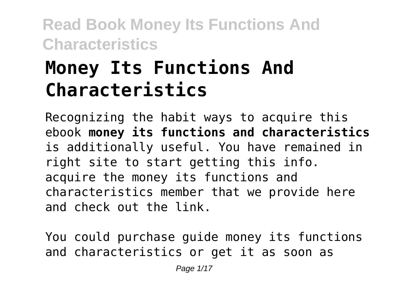# **Money Its Functions And Characteristics**

Recognizing the habit ways to acquire this ebook **money its functions and characteristics** is additionally useful. You have remained in right site to start getting this info. acquire the money its functions and characteristics member that we provide here and check out the link.

You could purchase guide money its functions and characteristics or get it as soon as

Page 1/17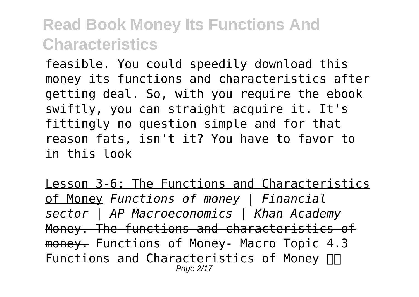feasible. You could speedily download this money its functions and characteristics after getting deal. So, with you require the ebook swiftly, you can straight acquire it. It's fittingly no question simple and for that reason fats, isn't it? You have to favor to in this look

Lesson 3-6: The Functions and Characteristics of Money *Functions of money | Financial sector | AP Macroeconomics | Khan Academy* Money. The functions and characteristics of money. Functions of Money- Macro Topic 4.3 Functions and Characteristics of Money  $\Pi$ Page 2/17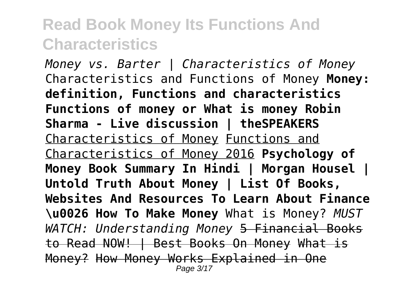*Money vs. Barter | Characteristics of Money* Characteristics and Functions of Money **Money: definition, Functions and characteristics Functions of money or What is money Robin Sharma - Live discussion | theSPEAKERS** Characteristics of Money Functions and Characteristics of Money 2016 **Psychology of Money Book Summary In Hindi | Morgan Housel | Untold Truth About Money | List Of Books, Websites And Resources To Learn About Finance \u0026 How To Make Money** What is Money? *MUST WATCH: Understanding Money* 5 Financial Books to Read NOW! | Best Books On Money What is Money? How Money Works Explained in One Page 3/17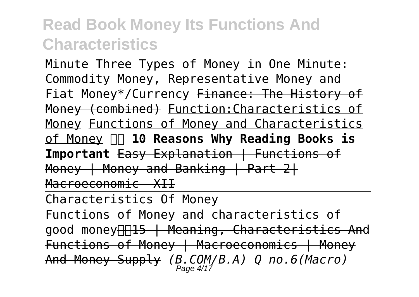Minute Three Types of Money in One Minute: Commodity Money, Representative Money and Fiat Money\*/Currency Finance: The History of Money (combined) Function:Characteristics of Money Functions of Money and Characteristics of Money  **10 Reasons Why Reading Books is Important** Easy Explanation | Functions of Money | Money and Banking | Part-2| Macroeconomic- XII

Characteristics Of Money

Functions of Money and characteristics of good money **115 | Meaning, Characteristics And** Functions of Money | Macroeconomics | Money And Money Supply *(B.COM/B.A) Q no.6(Macro)* Page 4/17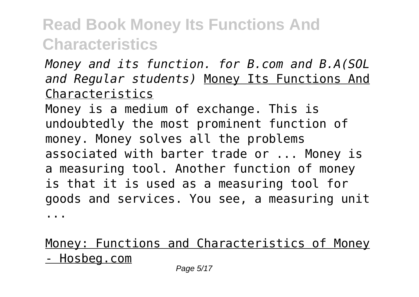*Money and its function. for B.com and B.A(SOL and Regular students)* Money Its Functions And Characteristics

Money is a medium of exchange. This is undoubtedly the most prominent function of money. Money solves all the problems associated with barter trade or ... Money is a measuring tool. Another function of money is that it is used as a measuring tool for goods and services. You see, a measuring unit ...

#### Money: Functions and Characteristics of Money - Hosbeg.com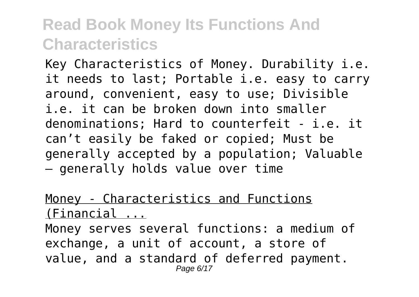Key Characteristics of Money. Durability i.e. it needs to last; Portable i.e. easy to carry around, convenient, easy to use; Divisible i.e. it can be broken down into smaller denominations; Hard to counterfeit - i.e. it can't easily be faked or copied; Must be generally accepted by a population; Valuable – generally holds value over time

#### Money - Characteristics and Functions (Financial ...

Money serves several functions: a medium of exchange, a unit of account, a store of value, and a standard of deferred payment. Page 6/17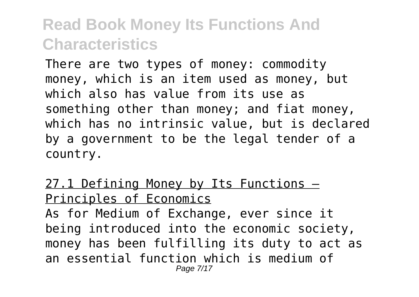There are two types of money: commodity money, which is an item used as money, but which also has value from its use as something other than money; and fiat money, which has no intrinsic value, but is declared by a government to be the legal tender of a country.

27.1 Defining Money by Its Functions -Principles of Economics As for Medium of Exchange, ever since it being introduced into the economic society, money has been fulfilling its duty to act as an essential function which is medium of Page 7/17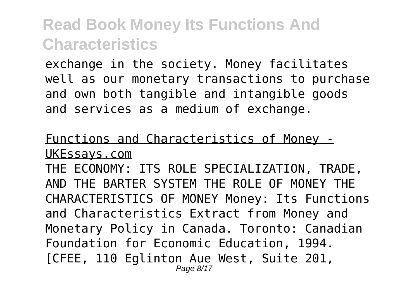exchange in the society. Money facilitates well as our monetary transactions to purchase and own both tangible and intangible goods and services as a medium of exchange.

#### Functions and Characteristics of Money - UKEssays.com

THE ECONOMY: ITS ROLE SPECIALIZATION, TRADE, AND THE BARTER SYSTEM THE ROLE OF MONEY THE CHARACTERISTICS OF MONEY Money: Its Functions and Characteristics Extract from Money and Monetary Policy in Canada. Toronto: Canadian Foundation for Economic Education, 1994. [CFEE, 110 Eglinton Aue West, Suite 201, Page 8/17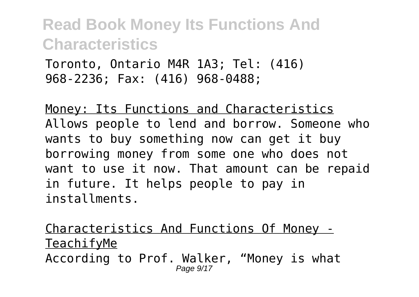Toronto, Ontario M4R 1A3; Tel: (416) 968-2236; Fax: (416) 968-0488;

Money: Its Functions and Characteristics Allows people to lend and borrow. Someone who wants to buy something now can get it buy borrowing money from some one who does not want to use it now. That amount can be repaid in future. It helps people to pay in installments.

Characteristics And Functions Of Money - TeachifyMe According to Prof. Walker, "Money is what Page  $9/17$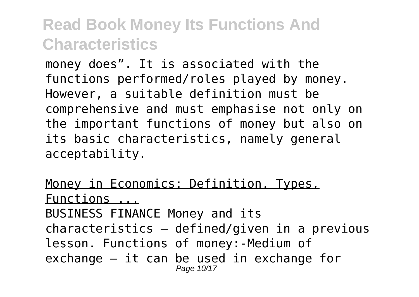money does". It is associated with the functions performed/roles played by money. However, a suitable definition must be comprehensive and must emphasise not only on the important functions of money but also on its basic characteristics, namely general acceptability.

Money in Economics: Definition, Types, Functions ... BUSINESS FINANCE Money and its characteristics – defined/given in a previous lesson. Functions of money:-Medium of exchange – it can be used in exchange for Page 10/17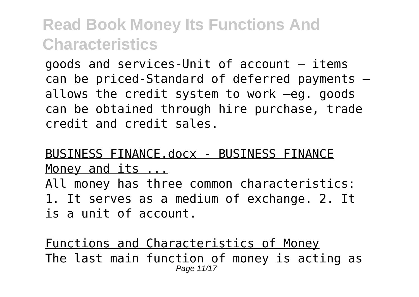goods and services-Unit of account – items can be priced-Standard of deferred payments – allows the credit system to work –eg. goods can be obtained through hire purchase, trade credit and credit sales.

#### BUSINESS FINANCE.docx - BUSINESS FINANCE Money and its ...

All money has three common characteristics: 1. It serves as a medium of exchange. 2. It is a unit of account.

Functions and Characteristics of Money The last main function of money is acting as Page 11/17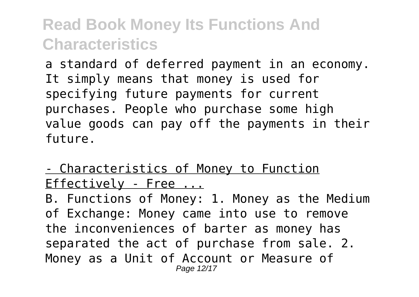a standard of deferred payment in an economy. It simply means that money is used for specifying future payments for current purchases. People who purchase some high value goods can pay off the payments in their future.

- Characteristics of Money to Function Effectively - Free ...

B. Functions of Money: 1. Money as the Medium of Exchange: Money came into use to remove the inconveniences of barter as money has separated the act of purchase from sale. 2. Money as a Unit of Account or Measure of Page 12/17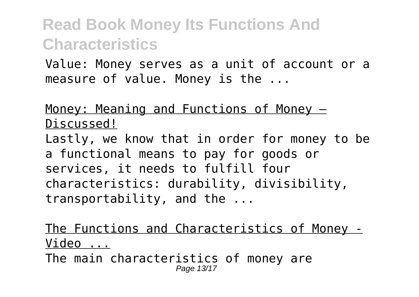Value: Money serves as a unit of account or a measure of value. Money is the ...

Money: Meaning and Functions of Money – Discussed! Lastly, we know that in order for money to be a functional means to pay for goods or services, it needs to fulfill four characteristics: durability, divisibility, transportability, and the ...

The Functions and Characteristics of Money - Video ... The main characteristics of money are Page 13/17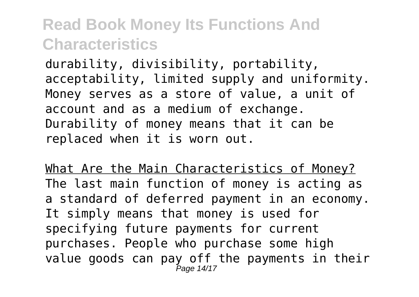durability, divisibility, portability, acceptability, limited supply and uniformity. Money serves as a store of value, a unit of account and as a medium of exchange. Durability of money means that it can be replaced when it is worn out.

What Are the Main Characteristics of Money? The last main function of money is acting as a standard of deferred payment in an economy. It simply means that money is used for specifying future payments for current purchases. People who purchase some high value goods can pay off the payments in their Page 14/17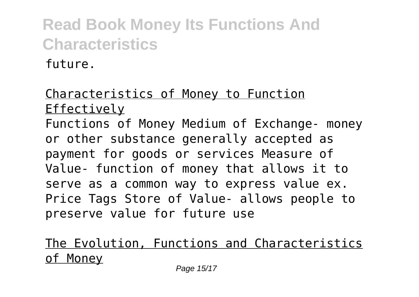future.

#### Characteristics of Money to Function Effectively Functions of Money Medium of Exchange- money or other substance generally accepted as payment for goods or services Measure of Value- function of money that allows it to serve as a common way to express value ex. Price Tags Store of Value- allows people to preserve value for future use

#### The Evolution, Functions and Characteristics of Money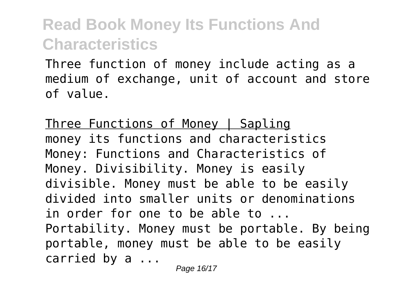Three function of money include acting as a medium of exchange, unit of account and store of value.

Three Functions of Money | Sapling money its functions and characteristics Money: Functions and Characteristics of Money. Divisibility. Money is easily divisible. Money must be able to be easily divided into smaller units or denominations in order for one to be able to ... Portability. Money must be portable. By being portable, money must be able to be easily carried by a ...